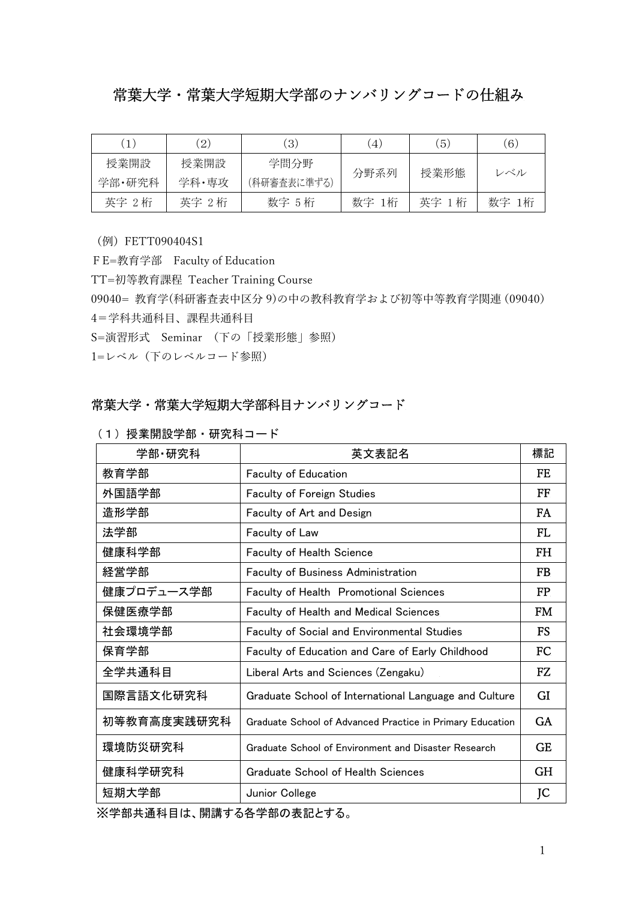## 常葉大学・常葉大学短期大学部のナンバリングコードの仕組み

|        | $\left( 2\right)$ | $\left(3\right)$ | 4     | $\vert 5 \rangle$ | (6)      |
|--------|-------------------|------------------|-------|-------------------|----------|
| 授業開設   | 授業開設              | 学問分野             | 分野系列  | 授業形態              | レベル      |
| 学部·研究科 | 学科・専攻             | (科研審査表に準ずる)      |       |                   |          |
| 英字 2桁  | 英字 2桁             | 数字 5 桁           | 数字 1桁 | 英字<br>1 桁         | 数字<br>1桁 |

(例)FETT090404S1

FE=教育学部 Faculty of Education TT=初等教育課程 Teacher Training Course 09040= 教育学(科研審査表中区分 9)の中の教科教育学および初等中等教育学関連(09040) 4=学科共通科目、課程共通科目 S=演習形式 Seminar (下の「授業形態」参照) 1=レベル(下のレベルコード参照)

## 常葉大学・常葉大学短期大学部科目ナンバリングコード

| 学部·研究科      | 英文表記名                                                     | 標記        |
|-------------|-----------------------------------------------------------|-----------|
| 教育学部        | <b>Faculty of Education</b>                               | FF.       |
| 外国語学部       | <b>Faculty of Foreign Studies</b>                         | FF        |
| 造形学部        | Faculty of Art and Design                                 | FA.       |
| 法学部         | Faculty of Law                                            | FI.       |
| 健康科学部       | <b>Faculty of Health Science</b>                          | <b>FH</b> |
| 経営学部        | <b>Faculty of Business Administration</b>                 | FB        |
| 健康プロデュース学部  | Faculty of Health Promotional Sciences                    | <b>FP</b> |
| 保健医療学部      | <b>Faculty of Health and Medical Sciences</b>             | <b>FM</b> |
| 社会環境学部      | <b>Faculty of Social and Environmental Studies</b>        | FS        |
| 保育学部        | <b>Faculty of Education and Care of Early Childhood</b>   | FC.       |
| 全学共通科目      | Liberal Arts and Sciences (Zengaku)                       | FZ.       |
| 国際言語文化研究科   | Graduate School of International Language and Culture     | <b>GI</b> |
| 初等教育高度実践研究科 | Graduate School of Advanced Practice in Primary Education | GA.       |
| 環境防災研究科     | Graduate School of Environment and Disaster Research      | <b>GE</b> |
| 健康科学研究科     | Graduate School of Health Sciences                        | <b>GH</b> |
| 短期大学部       | Junior College                                            | JC        |

(1) 授業開設学部・研究科コード

※学部共通科目は、開講する各学部の表記とする。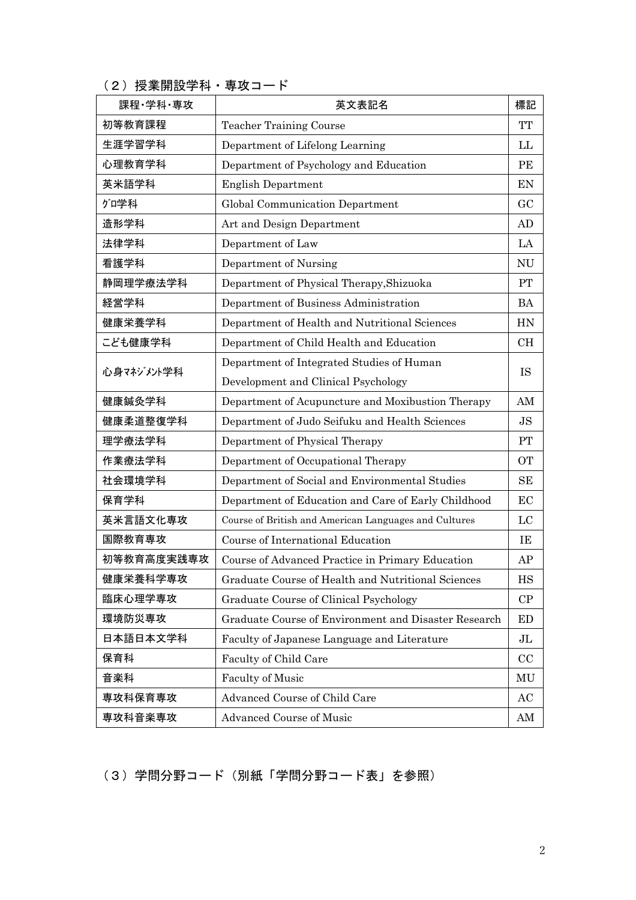(2) 授業開設学科·専攻コード

| 課程・学科・専攻   | 英文表記名                                                 | 標記        |  |
|------------|-------------------------------------------------------|-----------|--|
| 初等教育課程     | <b>Teacher Training Course</b>                        | <b>TT</b> |  |
| 生涯学習学科     | Department of Lifelong Learning                       |           |  |
| 心理教育学科     | Department of Psychology and Education                | PE        |  |
| 英米語学科      | <b>English Department</b>                             | EN        |  |
| グロ学科       | Global Communication Department                       | GC        |  |
| 造形学科       | Art and Design Department                             | AD        |  |
| 法律学科       | Department of Law                                     | LA        |  |
| 看護学科       | Department of Nursing                                 | <b>NU</b> |  |
| 静岡理学療法学科   | Department of Physical Therapy, Shizuoka              | PT        |  |
| 経営学科       | Department of Business Administration                 | <b>BA</b> |  |
| 健康栄養学科     | Department of Health and Nutritional Sciences         | <b>HN</b> |  |
| こども健康学科    | Department of Child Health and Education              | <b>CH</b> |  |
|            | Department of Integrated Studies of Human             |           |  |
| 心身マネゾメル学科  | Development and Clinical Psychology                   | <b>IS</b> |  |
| 健康鍼灸学科     | Department of Acupuncture and Moxibustion Therapy     | AM        |  |
| 健康柔道整復学科   | Department of Judo Seifuku and Health Sciences        | <b>JS</b> |  |
| 理学療法学科     | Department of Physical Therapy                        | PT        |  |
| 作業療法学科     | Department of Occupational Therapy                    | <b>OT</b> |  |
| 社会環境学科     | Department of Social and Environmental Studies        | <b>SE</b> |  |
| 保育学科       | Department of Education and Care of Early Childhood   | EC        |  |
| 英米言語文化専攻   | Course of British and American Languages and Cultures | LC        |  |
| 国際教育専攻     | Course of International Education                     | IE        |  |
| 初等教育高度実践専攻 | Course of Advanced Practice in Primary Education      | AP        |  |
| 健康栄養科学専攻   | Graduate Course of Health and Nutritional Sciences    | HS        |  |
| 臨床心理学専攻    | Graduate Course of Clinical Psychology                | CP        |  |
| 環境防災専攻     | Graduate Course of Environment and Disaster Research  | ED        |  |
| 日本語日本文学科   | Faculty of Japanese Language and Literature           | JL        |  |
| 保育科        | Faculty of Child Care                                 | CC        |  |
| 音楽科        | <b>Faculty of Music</b>                               | MU        |  |
| 専攻科保育専攻    | Advanced Course of Child Care                         | AC        |  |
| 専攻科音楽専攻    | Advanced Course of Music                              | AM        |  |

(3)学問分野コード(別紙「学問分野コード表」を参照)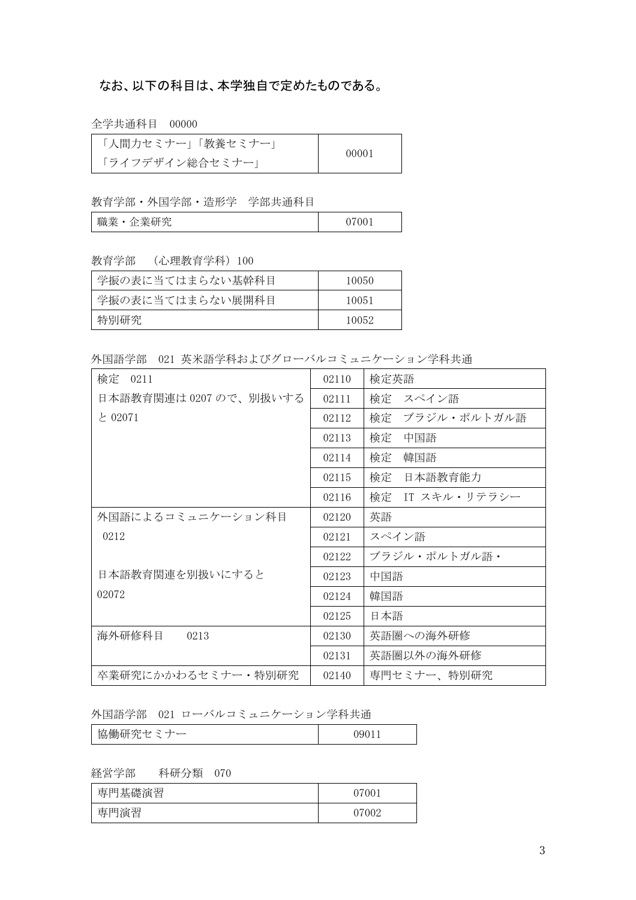## なお、以下の科目は、本学独自で定めたものである。

全学共通科目 00000

| 人間力セミナー   教養セミナー | 00001 |
|------------------|-------|
| 「ライフデザイン総合セミナー」  |       |

教育学部・外国学部・造形学 学部共通科目

| ML<br>MIA.<br>職業<br>グロ<br>$\overline{H}$<br>ᅭ<br>. ∟<br>— 宋 11/<br>ப | $\sim$ $\sim$ $\sim$<br>- |
|----------------------------------------------------------------------|---------------------------|
|----------------------------------------------------------------------|---------------------------|

教育学部 (心理教育学科)100

| 学振の表に当てはまらない基幹科目 | 10050 |
|------------------|-------|
| 学振の表に当てはまらない展開科目 | 10051 |
| 特別研究             | 10052 |

外国語学部 021 英米語学科およびグローバルコミュニケーション学科共通

| 検定<br>0211             | 02110 | 検定英語              |
|------------------------|-------|-------------------|
| 日本語教育関連は 0207 ので、別扱いする | 02111 | 検定 スペイン語          |
| と 02071                | 02112 | 検定<br>ブラジル・ポルトガル語 |
|                        | 02113 | 検定<br>中国語         |
|                        | 02114 | 韓国語<br>検定         |
|                        | 02115 | 検定<br>日本語教育能力     |
|                        | 02116 | 検定 IT スキル・リテラシー   |
| 外国語によるコミュニケーション科目      | 02120 | 英語                |
| 0212                   | 02121 | スペイン語             |
|                        | 02122 | ブラジル・ポルトガル語・      |
| 日本語教育関連を別扱いにすると        | 02123 | 中国語               |
| 02072                  | 02124 | 韓国語               |
|                        | 02125 | 日本語               |
| 海外研修科目<br>0213         | 02130 | 英語圏への海外研修         |
|                        | 02131 | 英語圏以外の海外研修        |
| 卒業研究にかかわるセミナー・特別研究     | 02140 | 専門セミナー、特別研究       |

外国語学部 021 ローバルコミュニケーション学科共通

経営学部 科研分類 070

| 基礎演習<br>車<br>ĦĦ | 07001 |
|-----------------|-------|
| 専門演習            | 07002 |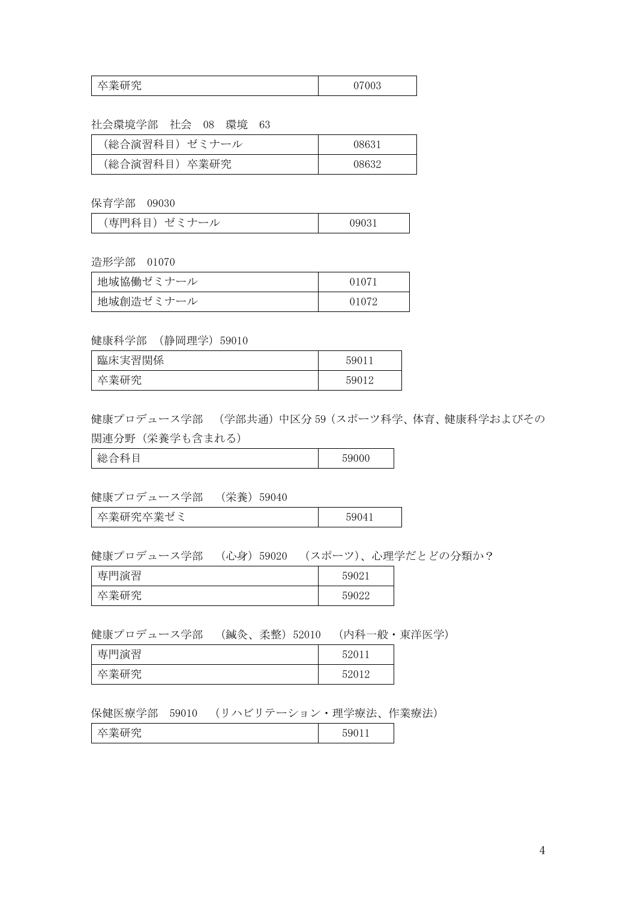| 卒業研究 | 07003 |
|------|-------|
|------|-------|

社会環境学部 社会 08 環境 63

| (総合演習科目)ゼミナール | ገጸ631 |
|---------------|-------|
| (総合演習科目) 卒業研究 | ารธรร |

保育学部 09030

| (専門科目)<br>・ゼミー<br>09031<br>◡ |
|------------------------------|
|------------------------------|

造形学部 01070

| 地域協働ゼミナール |  |
|-----------|--|
| 地域創造ゼミナール |  |

健康科学部 (静岡理学)59010

| 沫実習関係<br>臨月 | 5001  |
|-------------|-------|
| <b>光加炉</b>  | 50012 |

健康プロデュース学部 (学部共通)中区分 59(スポーツ科学、体育、健康科学およびその 関連分野(栄養学も含まれる)

**総合科目 59000** 

健康プロデュース学部 (栄養)59040

卒業研究卒業ゼミ 59041

健康プロデュース学部 (心身)59020 (スポーツ)、心理学だとどの分類か?

| 専門演習      | 59021 |
|-----------|-------|
| 大丵麻空<br>ш | 59022 |

健康プロデュース学部 (鍼灸、柔整)52010 (内科一般・東洋医学)

| 専門演習 | 52011 |
|------|-------|
| 卒業研究 | 52012 |

保健医療学部 59010 (リハビリテーション・理学療法、作業療法)

| 卒業研究 | 59011 |
|------|-------|
|------|-------|